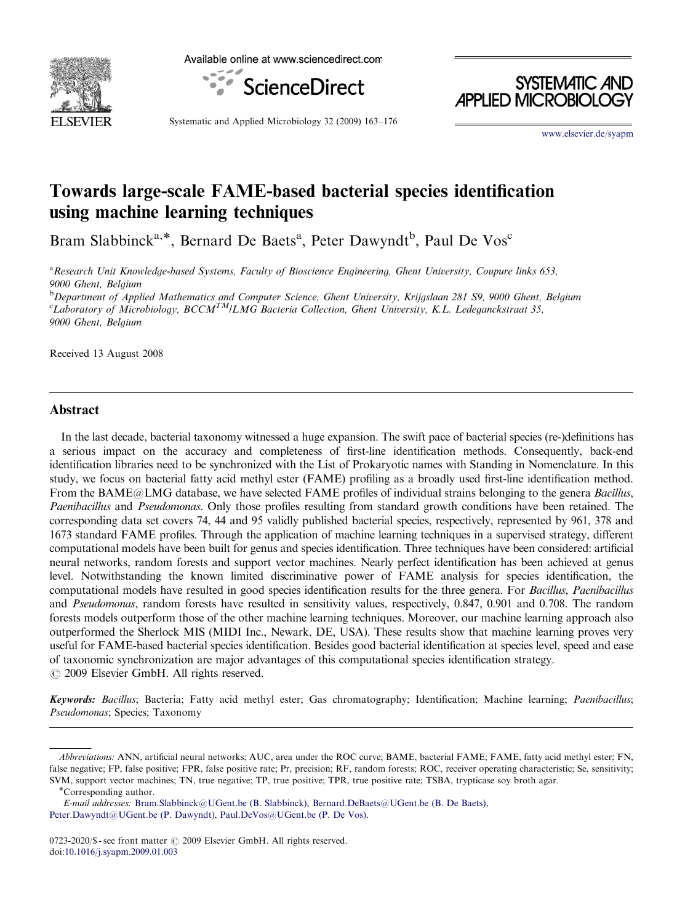

Available online at www.sciencedirect.com



SYSTEMATIC AND<br>APPLIED MICROBIOLOGY

Systematic and Applied Microbiology 32 (2009) 163–176

<www.elsevier.de/syapm>

# Towards large-scale FAME-based bacterial species identification using machine learning techniques

Bram Slabbinck<sup>a,\*</sup>, Bernard De Baets<sup>a</sup>, Peter Dawyndt<sup>b</sup>, Paul De Vos<sup>c</sup>

<sup>a</sup> Research Unit Knowledge-based Systems, Faculty of Bioscience Engineering, Ghent University, Coupure links 653, 9000 Ghent, Belgium

**b** Department of Applied Mathematics and Computer Science, Ghent University, Krijgslaan 281 S9, 9000 Ghent, Belgium  $c^c$ Laboratory of Microbiology, BCCM<sup>TM</sup>/LMG Bacteria Collection, Ghent University, K.L. Ledeganckstraat 35, 9000 Ghent, Belgium

Received 13 August 2008

## Abstract

In the last decade, bacterial taxonomy witnessed a huge expansion. The swift pace of bacterial species (re-)definitions has a serious impact on the accuracy and completeness of first-line identification methods. Consequently, back-end identification libraries need to be synchronized with the List of Prokaryotic names with Standing in Nomenclature. In this study, we focus on bacterial fatty acid methyl ester (FAME) profiling as a broadly used first-line identification method. From the BAME@LMG database, we have selected FAME profiles of individual strains belonging to the genera Bacillus, Paenibacillus and Pseudomonas. Only those profiles resulting from standard growth conditions have been retained. The corresponding data set covers 74, 44 and 95 validly published bacterial species, respectively, represented by 961, 378 and 1673 standard FAME profiles. Through the application of machine learning techniques in a supervised strategy, different computational models have been built for genus and species identification. Three techniques have been considered: artificial neural networks, random forests and support vector machines. Nearly perfect identification has been achieved at genus level. Notwithstanding the known limited discriminative power of FAME analysis for species identification, the computational models have resulted in good species identification results for the three genera. For Bacillus, Paenibacillus and Pseudomonas, random forests have resulted in sensitivity values, respectively, 0.847, 0.901 and 0.708. The random forests models outperform those of the other machine learning techniques. Moreover, our machine learning approach also outperformed the Sherlock MIS (MIDI Inc., Newark, DE, USA). These results show that machine learning proves very useful for FAME-based bacterial species identification. Besides good bacterial identification at species level, speed and ease of taxonomic synchronization are major advantages of this computational species identification strategy.  $\odot$  2009 Elsevier GmbH. All rights reserved.

Keywords: Bacillus; Bacteria; Fatty acid methyl ester; Gas chromatography; Identification; Machine learning; Paenibacillus; Pseudomonas; Species; Taxonomy

Abbreviations: ANN, artificial neural networks; AUC, area under the ROC curve; BAME, bacterial FAME; FAME, fatty acid methyl ester; FN, false negative; FP, false positive; FPR, false positive rate; Pr, precision; RF, random forests; ROC, receiver operating characteristic; Se, sensitivity; SVM, support vector machines; TN, true negative; TP, true positive; TPR, true positive rate; TSBA, trypticase soy broth agar. -

Corresponding author.

E-mail addresses: [Bram.Slabbinck@UGent.be \(B. Slabbinck\),](mailto:Bram.Slabbinck@UGent.be) [Bernard.DeBaets@UGent.be \(B. De Baets\),](mailto:Bernard.DeBaets@UGent.be) [Peter.Dawyndt@UGent.be \(P. Dawyndt\)](mailto:Peter.Dawyndt@UGent.be), [Paul.DeVos@UGent.be \(P. De Vos\).](mailto:Paul.DeVos@UGent.be)

 $0723-2020$ /\$ - see front matter  $\odot$  2009 Elsevier GmbH. All rights reserved. doi:[10.1016/j.syapm.2009.01.003](dx.doi.org/10.1016/j.syapm.2009.01.003)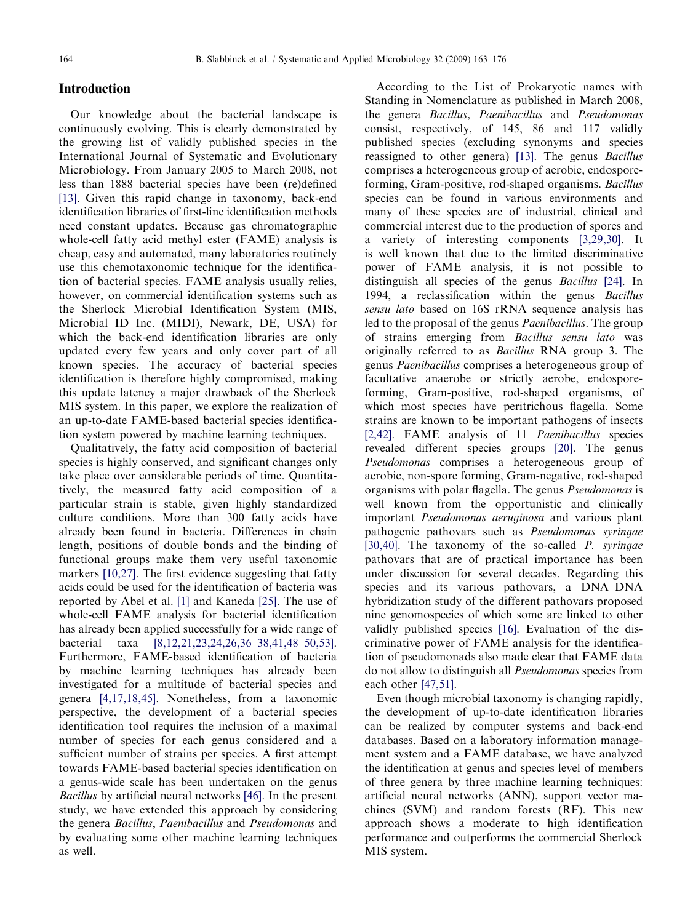# Introduction

Our knowledge about the bacterial landscape is continuously evolving. This is clearly demonstrated by the growing list of validly published species in the International Journal of Systematic and Evolutionary Microbiology. From January 2005 to March 2008, not less than 1888 bacterial species have been (re)defined [\[13\]](#page-12-0). Given this rapid change in taxonomy, back-end identification libraries of first-line identification methods need constant updates. Because gas chromatographic whole-cell fatty acid methyl ester (FAME) analysis is cheap, easy and automated, many laboratories routinely use this chemotaxonomic technique for the identification of bacterial species. FAME analysis usually relies, however, on commercial identification systems such as the Sherlock Microbial Identification System (MIS, Microbial ID Inc. (MIDI), Newark, DE, USA) for which the back-end identification libraries are only updated every few years and only cover part of all known species. The accuracy of bacterial species identification is therefore highly compromised, making this update latency a major drawback of the Sherlock MIS system. In this paper, we explore the realization of an up-to-date FAME-based bacterial species identification system powered by machine learning techniques.

Qualitatively, the fatty acid composition of bacterial species is highly conserved, and significant changes only take place over considerable periods of time. Quantitatively, the measured fatty acid composition of a particular strain is stable, given highly standardized culture conditions. More than 300 fatty acids have already been found in bacteria. Differences in chain length, positions of double bonds and the binding of functional groups make them very useful taxonomic markers [\[10,27\].](#page-12-0) The first evidence suggesting that fatty acids could be used for the identification of bacteria was reported by Abel et al. [\[1\]](#page-11-0) and Kaneda [\[25\].](#page-12-0) The use of whole-cell FAME analysis for bacterial identification has already been applied successfully for a wide range of bacterial taxa [\[8,12,21,23,24,26,36–38,41,48–50,53\]](#page-12-0). Furthermore, FAME-based identification of bacteria by machine learning techniques has already been investigated for a multitude of bacterial species and genera [\[4,17,18,45\]](#page-12-0). Nonetheless, from a taxonomic perspective, the development of a bacterial species identification tool requires the inclusion of a maximal number of species for each genus considered and a sufficient number of strains per species. A first attempt towards FAME-based bacterial species identification on a genus-wide scale has been undertaken on the genus Bacillus by artificial neural networks [\[46\]](#page-13-0). In the present study, we have extended this approach by considering the genera Bacillus, Paenibacillus and Pseudomonas and by evaluating some other machine learning techniques as well.

According to the List of Prokaryotic names with Standing in Nomenclature as published in March 2008, the genera Bacillus, Paenibacillus and Pseudomonas consist, respectively, of 145, 86 and 117 validly published species (excluding synonyms and species reassigned to other genera) [\[13\].](#page-12-0) The genus Bacillus comprises a heterogeneous group of aerobic, endosporeforming, Gram-positive, rod-shaped organisms. Bacillus species can be found in various environments and many of these species are of industrial, clinical and commercial interest due to the production of spores and a variety of interesting components [\[3,29,30\].](#page-12-0) It is well known that due to the limited discriminative power of FAME analysis, it is not possible to distinguish all species of the genus Bacillus [\[24\].](#page-12-0) In 1994, a reclassification within the genus Bacillus sensu lato based on 16S rRNA sequence analysis has led to the proposal of the genus Paenibacillus. The group of strains emerging from Bacillus sensu lato was originally referred to as Bacillus RNA group 3. The genus Paenibacillus comprises a heterogeneous group of facultative anaerobe or strictly aerobe, endosporeforming, Gram-positive, rod-shaped organisms, of which most species have peritrichous flagella. Some strains are known to be important pathogens of insects [\[2,42\].](#page-12-0) FAME analysis of 11 *Paenibacillus* species revealed different species groups [\[20\]](#page-12-0). The genus Pseudomonas comprises a heterogeneous group of aerobic, non-spore forming, Gram-negative, rod-shaped organisms with polar flagella. The genus Pseudomonas is well known from the opportunistic and clinically important Pseudomonas aeruginosa and various plant pathogenic pathovars such as Pseudomonas syringae [\[30,40\].](#page-12-0) The taxonomy of the so-called  $P$ . syringae pathovars that are of practical importance has been under discussion for several decades. Regarding this species and its various pathovars, a DNA–DNA hybridization study of the different pathovars proposed nine genomospecies of which some are linked to other validly published species [\[16\]](#page-12-0). Evaluation of the discriminative power of FAME analysis for the identification of pseudomonads also made clear that FAME data do not allow to distinguish all Pseudomonas species from each other [\[47,51\]](#page-13-0).

Even though microbial taxonomy is changing rapidly, the development of up-to-date identification libraries can be realized by computer systems and back-end databases. Based on a laboratory information management system and a FAME database, we have analyzed the identification at genus and species level of members of three genera by three machine learning techniques: artificial neural networks (ANN), support vector machines (SVM) and random forests (RF). This new approach shows a moderate to high identification performance and outperforms the commercial Sherlock MIS system.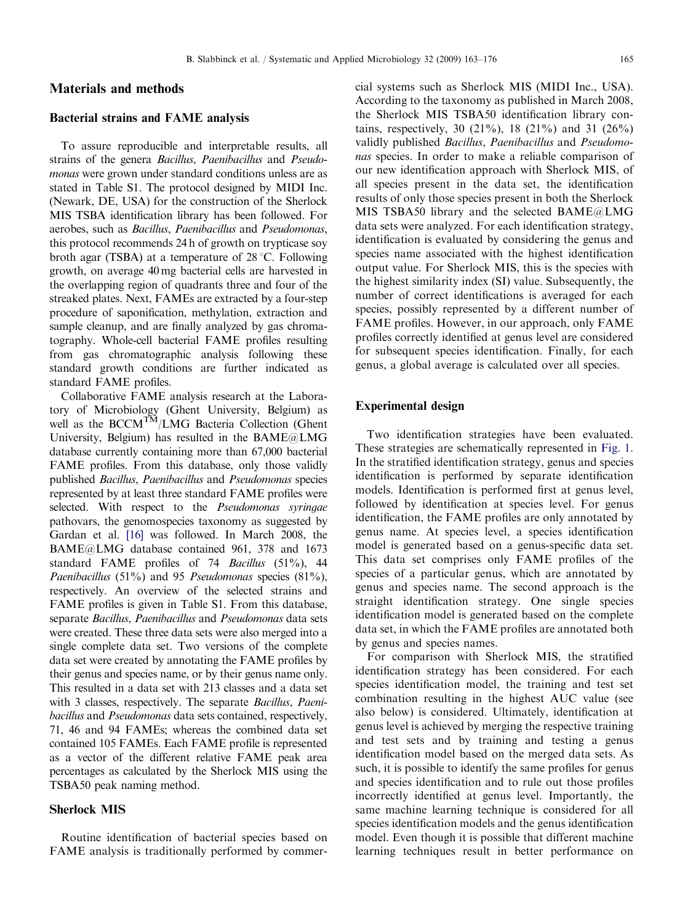## Materials and methods

# Bacterial strains and FAME analysis

To assure reproducible and interpretable results, all strains of the genera Bacillus, Paenibacillus and Pseudomonas were grown under standard conditions unless are as stated in Table S1. The protocol designed by MIDI Inc. (Newark, DE, USA) for the construction of the Sherlock MIS TSBA identification library has been followed. For aerobes, such as Bacillus, Paenibacillus and Pseudomonas, this protocol recommends 24 h of growth on trypticase soy broth agar (TSBA) at a temperature of  $28^{\circ}$ C. Following growth, on average 40 mg bacterial cells are harvested in the overlapping region of quadrants three and four of the streaked plates. Next, FAMEs are extracted by a four-step procedure of saponification, methylation, extraction and sample cleanup, and are finally analyzed by gas chromatography. Whole-cell bacterial FAME profiles resulting from gas chromatographic analysis following these standard growth conditions are further indicated as standard FAME profiles.

Collaborative FAME analysis research at the Laboratory of Microbiology (Ghent University, Belgium) as well as the  $BCCM^{TM}/LMG$  Bacteria Collection (Ghent University, Belgium) has resulted in the BAME@LMG database currently containing more than 67,000 bacterial FAME profiles. From this database, only those validly published Bacillus, Paenibacillus and Pseudomonas species represented by at least three standard FAME profiles were selected. With respect to the *Pseudomonas syringae* pathovars, the genomospecies taxonomy as suggested by Gardan et al. [\[16\]](#page-12-0) was followed. In March 2008, the BAME@LMG database contained 961, 378 and 1673 standard FAME profiles of 74 Bacillus (51%), 44 Paenibacillus (51%) and 95 Pseudomonas species (81%), respectively. An overview of the selected strains and FAME profiles is given in Table S1. From this database, separate Bacillus, Paenibacillus and Pseudomonas data sets were created. These three data sets were also merged into a single complete data set. Two versions of the complete data set were created by annotating the FAME profiles by their genus and species name, or by their genus name only. This resulted in a data set with 213 classes and a data set with 3 classes, respectively. The separate *Bacillus*, *Paeni*bacillus and Pseudomonas data sets contained, respectively, 71, 46 and 94 FAMEs; whereas the combined data set contained 105 FAMEs. Each FAME profile is represented as a vector of the different relative FAME peak area percentages as calculated by the Sherlock MIS using the TSBA50 peak naming method.

#### Sherlock MIS

Routine identification of bacterial species based on FAME analysis is traditionally performed by commercial systems such as Sherlock MIS (MIDI Inc., USA). According to the taxonomy as published in March 2008, the Sherlock MIS TSBA50 identification library contains, respectively, 30  $(21\%)$ , 18  $(21\%)$  and 31  $(26\%)$ validly published Bacillus, Paenibacillus and Pseudomonas species. In order to make a reliable comparison of our new identification approach with Sherlock MIS, of all species present in the data set, the identification results of only those species present in both the Sherlock MIS TSBA50 library and the selected BAME@LMG data sets were analyzed. For each identification strategy, identification is evaluated by considering the genus and species name associated with the highest identification output value. For Sherlock MIS, this is the species with the highest similarity index (SI) value. Subsequently, the number of correct identifications is averaged for each species, possibly represented by a different number of FAME profiles. However, in our approach, only FAME profiles correctly identified at genus level are considered for subsequent species identification. Finally, for each genus, a global average is calculated over all species.

## Experimental design

Two identification strategies have been evaluated. These strategies are schematically represented in [Fig. 1.](#page-3-0) In the stratified identification strategy, genus and species identification is performed by separate identification models. Identification is performed first at genus level, followed by identification at species level. For genus identification, the FAME profiles are only annotated by genus name. At species level, a species identification model is generated based on a genus-specific data set. This data set comprises only FAME profiles of the species of a particular genus, which are annotated by genus and species name. The second approach is the straight identification strategy. One single species identification model is generated based on the complete data set, in which the FAME profiles are annotated both by genus and species names.

For comparison with Sherlock MIS, the stratified identification strategy has been considered. For each species identification model, the training and test set combination resulting in the highest AUC value (see also below) is considered. Ultimately, identification at genus level is achieved by merging the respective training and test sets and by training and testing a genus identification model based on the merged data sets. As such, it is possible to identify the same profiles for genus and species identification and to rule out those profiles incorrectly identified at genus level. Importantly, the same machine learning technique is considered for all species identification models and the genus identification model. Even though it is possible that different machine learning techniques result in better performance on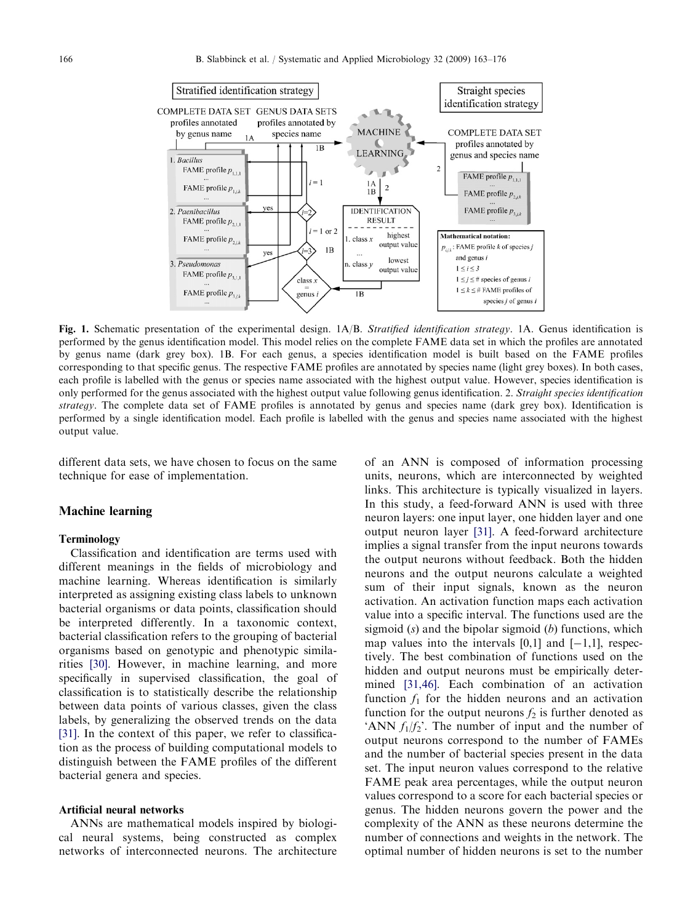<span id="page-3-0"></span>

Fig. 1. Schematic presentation of the experimental design. 1A/B. Stratified identification strategy. 1A. Genus identification is performed by the genus identification model. This model relies on the complete FAME data set in which the profiles are annotated by genus name (dark grey box). 1B. For each genus, a species identification model is built based on the FAME profiles corresponding to that specific genus. The respective FAME profiles are annotated by species name (light grey boxes). In both cases, each profile is labelled with the genus or species name associated with the highest output value. However, species identification is only performed for the genus associated with the highest output value following genus identification. 2. Straight species identification strategy. The complete data set of FAME profiles is annotated by genus and species name (dark grey box). Identification is performed by a single identification model. Each profile is labelled with the genus and species name associated with the highest output value.

different data sets, we have chosen to focus on the same technique for ease of implementation.

# Machine learning

#### Terminology

Classification and identification are terms used with different meanings in the fields of microbiology and machine learning. Whereas identification is similarly interpreted as assigning existing class labels to unknown bacterial organisms or data points, classification should be interpreted differently. In a taxonomic context, bacterial classification refers to the grouping of bacterial organisms based on genotypic and phenotypic similarities [\[30\].](#page-12-0) However, in machine learning, and more specifically in supervised classification, the goal of classification is to statistically describe the relationship between data points of various classes, given the class labels, by generalizing the observed trends on the data [\[31\]](#page-12-0). In the context of this paper, we refer to classification as the process of building computational models to distinguish between the FAME profiles of the different bacterial genera and species.

#### Artificial neural networks

ANNs are mathematical models inspired by biological neural systems, being constructed as complex networks of interconnected neurons. The architecture of an ANN is composed of information processing units, neurons, which are interconnected by weighted links. This architecture is typically visualized in layers. In this study, a feed-forward ANN is used with three neuron layers: one input layer, one hidden layer and one output neuron layer [\[31\].](#page-12-0) A feed-forward architecture implies a signal transfer from the input neurons towards the output neurons without feedback. Both the hidden neurons and the output neurons calculate a weighted sum of their input signals, known as the neuron activation. An activation function maps each activation value into a specific interval. The functions used are the sigmoid  $(s)$  and the bipolar sigmoid  $(b)$  functions, which map values into the intervals  $[0,1]$  and  $[-1,1]$ , respectively. The best combination of functions used on the hidden and output neurons must be empirically determined [\[31,46\].](#page-12-0) Each combination of an activation function  $f_1$  for the hidden neurons and an activation function for the output neurons  $f_2$  is further denoted as 'ANN  $f_1/f_2$ '. The number of input and the number of output neurons correspond to the number of FAMEs and the number of bacterial species present in the data set. The input neuron values correspond to the relative FAME peak area percentages, while the output neuron values correspond to a score for each bacterial species or genus. The hidden neurons govern the power and the complexity of the ANN as these neurons determine the number of connections and weights in the network. The optimal number of hidden neurons is set to the number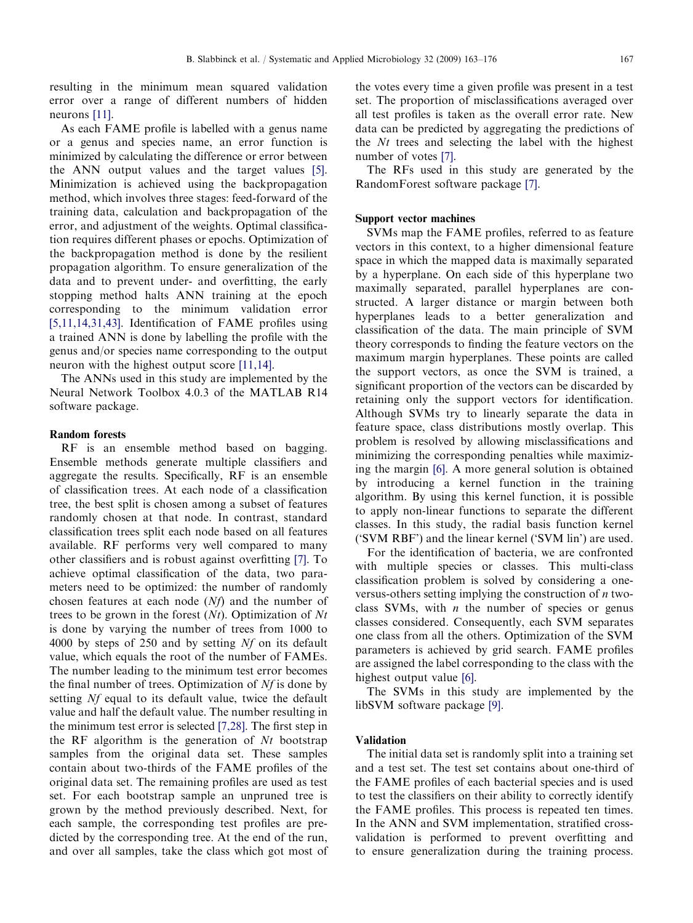resulting in the minimum mean squared validation error over a range of different numbers of hidden neurons [\[11\]](#page-12-0).

As each FAME profile is labelled with a genus name or a genus and species name, an error function is minimized by calculating the difference or error between the ANN output values and the target values [\[5\].](#page-12-0) Minimization is achieved using the backpropagation method, which involves three stages: feed-forward of the training data, calculation and backpropagation of the error, and adjustment of the weights. Optimal classification requires different phases or epochs. Optimization of the backpropagation method is done by the resilient propagation algorithm. To ensure generalization of the data and to prevent under- and overfitting, the early stopping method halts ANN training at the epoch corresponding to the minimum validation error [\[5,11,14,31,43\].](#page-12-0) Identification of FAME profiles using a trained ANN is done by labelling the profile with the genus and/or species name corresponding to the output neuron with the highest output score [\[11,14\].](#page-12-0)

The ANNs used in this study are implemented by the Neural Network Toolbox 4.0.3 of the MATLAB R14 software package.

#### Random forests

RF is an ensemble method based on bagging. Ensemble methods generate multiple classifiers and aggregate the results. Specifically, RF is an ensemble of classification trees. At each node of a classification tree, the best split is chosen among a subset of features randomly chosen at that node. In contrast, standard classification trees split each node based on all features available. RF performs very well compared to many other classifiers and is robust against overfitting [\[7\]](#page-12-0). To achieve optimal classification of the data, two parameters need to be optimized: the number of randomly chosen features at each node (Nf) and the number of trees to be grown in the forest  $(Nt)$ . Optimization of  $Nt$ is done by varying the number of trees from 1000 to 4000 by steps of 250 and by setting Nf on its default value, which equals the root of the number of FAMEs. The number leading to the minimum test error becomes the final number of trees. Optimization of  $Nf$  is done by setting Nf equal to its default value, twice the default value and half the default value. The number resulting in the minimum test error is selected [\[7,28\].](#page-12-0) The first step in the RF algorithm is the generation of  $Nt$  bootstrap samples from the original data set. These samples contain about two-thirds of the FAME profiles of the original data set. The remaining profiles are used as test set. For each bootstrap sample an unpruned tree is grown by the method previously described. Next, for each sample, the corresponding test profiles are predicted by the corresponding tree. At the end of the run, and over all samples, take the class which got most of the votes every time a given profile was present in a test set. The proportion of misclassifications averaged over all test profiles is taken as the overall error rate. New data can be predicted by aggregating the predictions of the  $Nt$  trees and selecting the label with the highest number of votes [\[7\].](#page-12-0)

The RFs used in this study are generated by the RandomForest software package [\[7\].](#page-12-0)

#### Support vector machines

SVMs map the FAME profiles, referred to as feature vectors in this context, to a higher dimensional feature space in which the mapped data is maximally separated by a hyperplane. On each side of this hyperplane two maximally separated, parallel hyperplanes are constructed. A larger distance or margin between both hyperplanes leads to a better generalization and classification of the data. The main principle of SVM theory corresponds to finding the feature vectors on the maximum margin hyperplanes. These points are called the support vectors, as once the SVM is trained, a significant proportion of the vectors can be discarded by retaining only the support vectors for identification. Although SVMs try to linearly separate the data in feature space, class distributions mostly overlap. This problem is resolved by allowing misclassifications and minimizing the corresponding penalties while maximizing the margin [\[6\].](#page-12-0) A more general solution is obtained by introducing a kernel function in the training algorithm. By using this kernel function, it is possible to apply non-linear functions to separate the different classes. In this study, the radial basis function kernel ('SVM RBF') and the linear kernel ('SVM lin') are used.

For the identification of bacteria, we are confronted with multiple species or classes. This multi-class classification problem is solved by considering a oneversus-others setting implying the construction of  $n$  twoclass SVMs, with  $n$  the number of species or genus classes considered. Consequently, each SVM separates one class from all the others. Optimization of the SVM parameters is achieved by grid search. FAME profiles are assigned the label corresponding to the class with the highest output value [\[6\]](#page-12-0).

The SVMs in this study are implemented by the libSVM software package [\[9\]](#page-12-0).

#### Validation

The initial data set is randomly split into a training set and a test set. The test set contains about one-third of the FAME profiles of each bacterial species and is used to test the classifiers on their ability to correctly identify the FAME profiles. This process is repeated ten times. In the ANN and SVM implementation, stratified crossvalidation is performed to prevent overfitting and to ensure generalization during the training process.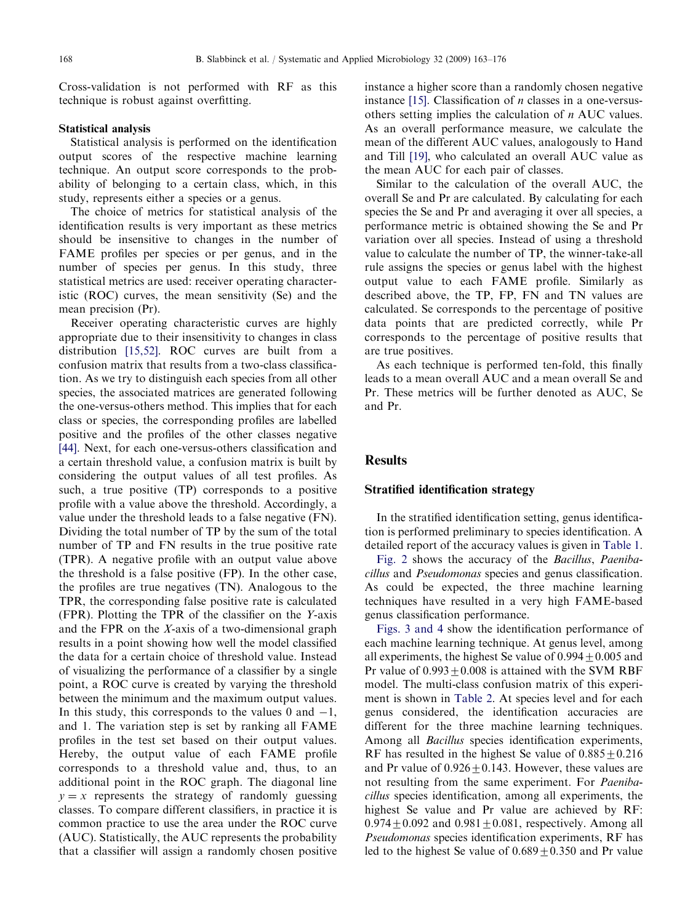Cross-validation is not performed with RF as this technique is robust against overfitting.

#### Statistical analysis

Statistical analysis is performed on the identification output scores of the respective machine learning technique. An output score corresponds to the probability of belonging to a certain class, which, in this study, represents either a species or a genus.

The choice of metrics for statistical analysis of the identification results is very important as these metrics should be insensitive to changes in the number of FAME profiles per species or per genus, and in the number of species per genus. In this study, three statistical metrics are used: receiver operating characteristic (ROC) curves, the mean sensitivity (Se) and the mean precision (Pr).

Receiver operating characteristic curves are highly appropriate due to their insensitivity to changes in class distribution [\[15,52\].](#page-12-0) ROC curves are built from a confusion matrix that results from a two-class classification. As we try to distinguish each species from all other species, the associated matrices are generated following the one-versus-others method. This implies that for each class or species, the corresponding profiles are labelled positive and the profiles of the other classes negative [\[44\]](#page-13-0). Next, for each one-versus-others classification and a certain threshold value, a confusion matrix is built by considering the output values of all test profiles. As such, a true positive (TP) corresponds to a positive profile with a value above the threshold. Accordingly, a value under the threshold leads to a false negative (FN). Dividing the total number of TP by the sum of the total number of TP and FN results in the true positive rate (TPR). A negative profile with an output value above the threshold is a false positive (FP). In the other case, the profiles are true negatives (TN). Analogous to the TPR, the corresponding false positive rate is calculated (FPR). Plotting the TPR of the classifier on the Y-axis and the FPR on the X-axis of a two-dimensional graph results in a point showing how well the model classified the data for a certain choice of threshold value. Instead of visualizing the performance of a classifier by a single point, a ROC curve is created by varying the threshold between the minimum and the maximum output values. In this study, this corresponds to the values  $0$  and  $-1$ , and 1. The variation step is set by ranking all FAME profiles in the test set based on their output values. Hereby, the output value of each FAME profile corresponds to a threshold value and, thus, to an additional point in the ROC graph. The diagonal line  $y = x$  represents the strategy of randomly guessing classes. To compare different classifiers, in practice it is common practice to use the area under the ROC curve (AUC). Statistically, the AUC represents the probability that a classifier will assign a randomly chosen positive

instance a higher score than a randomly chosen negative instance [\[15\].](#page-12-0) Classification of  $n$  classes in a one-versusothers setting implies the calculation of  $n$  AUC values. As an overall performance measure, we calculate the mean of the different AUC values, analogously to Hand and Till [\[19\],](#page-12-0) who calculated an overall AUC value as the mean AUC for each pair of classes.

Similar to the calculation of the overall AUC, the overall Se and Pr are calculated. By calculating for each species the Se and Pr and averaging it over all species, a performance metric is obtained showing the Se and Pr variation over all species. Instead of using a threshold value to calculate the number of TP, the winner-take-all rule assigns the species or genus label with the highest output value to each FAME profile. Similarly as described above, the TP, FP, FN and TN values are calculated. Se corresponds to the percentage of positive data points that are predicted correctly, while Pr corresponds to the percentage of positive results that are true positives.

As each technique is performed ten-fold, this finally leads to a mean overall AUC and a mean overall Se and Pr. These metrics will be further denoted as AUC, Se and Pr.

## **Results**

#### Stratified identification strategy

In the stratified identification setting, genus identification is performed preliminary to species identification. A detailed report of the accuracy values is given in [Table 1](#page-6-0).

[Fig. 2](#page-7-0) shows the accuracy of the Bacillus, Paenibacillus and Pseudomonas species and genus classification. As could be expected, the three machine learning techniques have resulted in a very high FAME-based genus classification performance.

[Figs. 3 and 4](#page-7-0) show the identification performance of each machine learning technique. At genus level, among all experiments, the highest Se value of  $0.994 \pm 0.005$  and Pr value of  $0.993 \pm 0.008$  is attained with the SVM RBF model. The multi-class confusion matrix of this experiment is shown in [Table 2](#page-8-0). At species level and for each genus considered, the identification accuracies are different for the three machine learning techniques. Among all Bacillus species identification experiments, RF has resulted in the highest Se value of  $0.885+0.216$ and Pr value of  $0.926 \pm 0.143$ . However, these values are not resulting from the same experiment. For Paenibacillus species identification, among all experiments, the highest Se value and Pr value are achieved by RF:  $0.974 + 0.092$  and  $0.981 + 0.081$ , respectively. Among all Pseudomonas species identification experiments, RF has led to the highest Se value of  $0.689 \pm 0.350$  and Pr value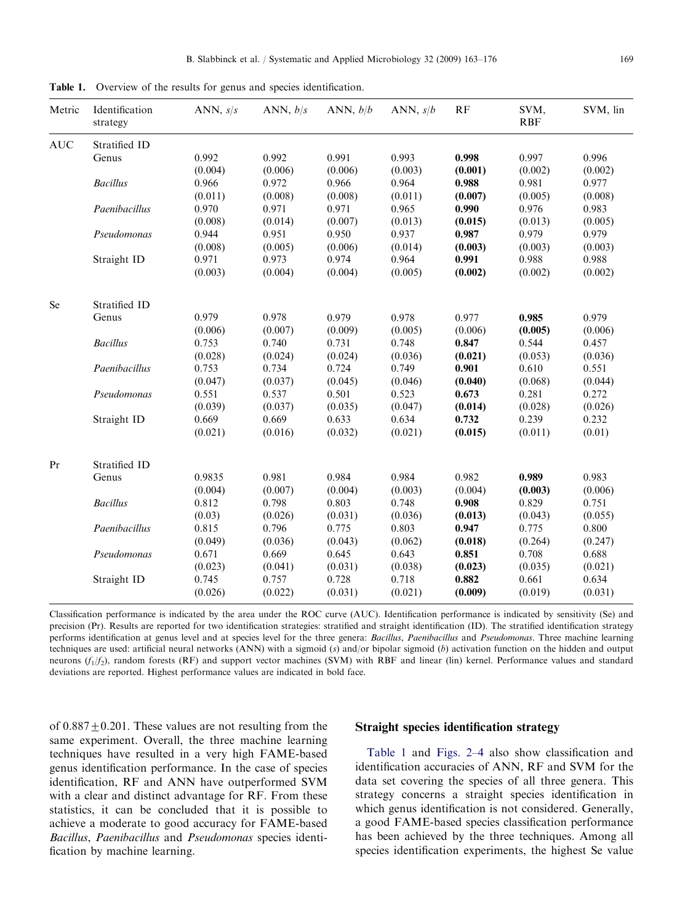<span id="page-6-0"></span>Table 1. Overview of the results for genus and species identification.

| Metric         | Identification<br>strategy | ANN, $s/s$ | ANN, $b/s$ | ANN, $b/b$ | ANN, $s/b$ | RF      | SVM,<br><b>RBF</b> | SVM, lin |
|----------------|----------------------------|------------|------------|------------|------------|---------|--------------------|----------|
| $\mathbf{AUC}$ | Stratified ID              |            |            |            |            |         |                    |          |
|                | Genus                      | 0.992      | 0.992      | 0.991      | 0.993      | 0.998   | 0.997              | 0.996    |
|                |                            | (0.004)    | (0.006)    | (0.006)    | (0.003)    | (0.001) | (0.002)            | (0.002)  |
|                | <b>Bacillus</b>            | 0.966      | 0.972      | 0.966      | 0.964      | 0.988   | 0.981              | 0.977    |
|                |                            | (0.011)    | (0.008)    | (0.008)    | (0.011)    | (0.007) | (0.005)            | (0.008)  |
|                | Paenibacillus              | 0.970      | 0.971      | 0.971      | 0.965      | 0.990   | 0.976              | 0.983    |
|                |                            | (0.008)    | (0.014)    | (0.007)    | (0.013)    | (0.015) | (0.013)            | (0.005)  |
|                | Pseudomonas                | 0.944      | 0.951      | 0.950      | 0.937      | 0.987   | 0.979              | 0.979    |
|                |                            | (0.008)    | (0.005)    | (0.006)    | (0.014)    | (0.003) | (0.003)            | (0.003)  |
|                | Straight ID                | 0.971      | 0.973      | 0.974      | 0.964      | 0.991   | 0.988              | 0.988    |
|                |                            | (0.003)    | (0.004)    | (0.004)    | (0.005)    | (0.002) | (0.002)            | (0.002)  |
| Se             | Stratified ID              |            |            |            |            |         |                    |          |
|                | Genus                      | 0.979      | 0.978      | 0.979      | 0.978      | 0.977   | 0.985              | 0.979    |
|                |                            | (0.006)    | (0.007)    | (0.009)    | (0.005)    | (0.006) | (0.005)            | (0.006)  |
|                | <b>Bacillus</b>            | 0.753      | 0.740      | 0.731      | 0.748      | 0.847   | 0.544              | 0.457    |
|                |                            | (0.028)    | (0.024)    | (0.024)    | (0.036)    | (0.021) | (0.053)            | (0.036)  |
|                | Paenibacillus              | 0.753      | 0.734      | 0.724      | 0.749      | 0.901   | 0.610              | 0.551    |
|                |                            | (0.047)    | (0.037)    | (0.045)    | (0.046)    | (0.040) | (0.068)            | (0.044)  |
|                | Pseudomonas                | 0.551      | 0.537      | 0.501      | 0.523      | 0.673   | 0.281              | 0.272    |
|                |                            | (0.039)    | (0.037)    | (0.035)    | (0.047)    | (0.014) | (0.028)            | (0.026)  |
|                | Straight ID                | 0.669      | 0.669      | 0.633      | 0.634      | 0.732   | 0.239              | 0.232    |
|                |                            | (0.021)    | (0.016)    | (0.032)    | (0.021)    | (0.015) | (0.011)            | (0.01)   |
| Pr             | Stratified ID              |            |            |            |            |         |                    |          |
|                | Genus                      | 0.9835     | 0.981      | 0.984      | 0.984      | 0.982   | 0.989              | 0.983    |
|                |                            | (0.004)    | (0.007)    | (0.004)    | (0.003)    | (0.004) | (0.003)            | (0.006)  |
|                | <b>Bacillus</b>            | 0.812      | 0.798      | 0.803      | 0.748      | 0.908   | 0.829              | 0.751    |
|                |                            | (0.03)     | (0.026)    | (0.031)    | (0.036)    | (0.013) | (0.043)            | (0.055)  |
|                | Paenibacillus              | 0.815      | 0.796      | 0.775      | 0.803      | 0.947   | 0.775              | 0.800    |
|                |                            | (0.049)    | (0.036)    | (0.043)    | (0.062)    | (0.018) | (0.264)            | (0.247)  |
|                | Pseudomonas                | 0.671      | 0.669      | 0.645      | 0.643      | 0.851   | 0.708              | 0.688    |
|                |                            | (0.023)    | (0.041)    | (0.031)    | (0.038)    | (0.023) | (0.035)            | (0.021)  |
|                | Straight ID                | 0.745      | 0.757      | 0.728      | 0.718      | 0.882   | 0.661              | 0.634    |
|                |                            | (0.026)    | (0.022)    | (0.031)    | (0.021)    | (0.009) | (0.019)            | (0.031)  |

Classification performance is indicated by the area under the ROC curve (AUC). Identification performance is indicated by sensitivity (Se) and precision (Pr). Results are reported for two identification strategies: stratified and straight identification (ID). The stratified identification strategy performs identification at genus level and at species level for the three genera: Bacillus, Paenibacillus and Pseudomonas. Three machine learning techniques are used: artificial neural networks (ANN) with a sigmoid (s) and/or bipolar sigmoid (b) activation function on the hidden and output neurons  $(f_1/f_2)$ , random forests (RF) and support vector machines (SVM) with RBF and linear (lin) kernel. Performance values and standard deviations are reported. Highest performance values are indicated in bold face.

of  $0.887 \pm 0.201$ . These values are not resulting from the same experiment. Overall, the three machine learning techniques have resulted in a very high FAME-based genus identification performance. In the case of species identification, RF and ANN have outperformed SVM with a clear and distinct advantage for RF. From these statistics, it can be concluded that it is possible to achieve a moderate to good accuracy for FAME-based Bacillus, Paenibacillus and Pseudomonas species identification by machine learning.

## Straight species identification strategy

Table 1 and [Figs. 2–4](#page-7-0) also show classification and identification accuracies of ANN, RF and SVM for the data set covering the species of all three genera. This strategy concerns a straight species identification in which genus identification is not considered. Generally, a good FAME-based species classification performance has been achieved by the three techniques. Among all species identification experiments, the highest Se value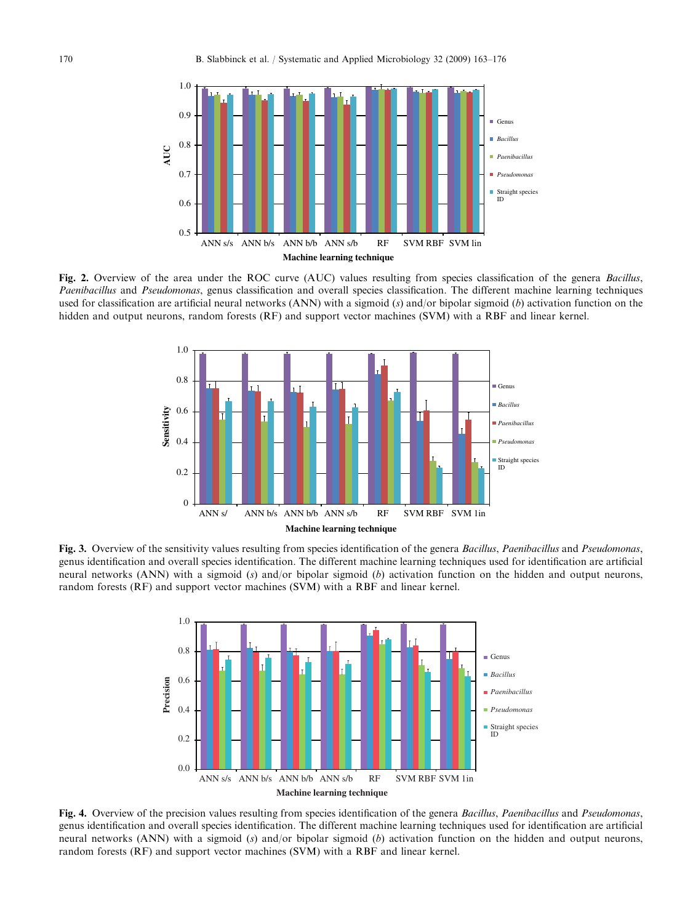<span id="page-7-0"></span>

Fig. 2. Overview of the area under the ROC curve (AUC) values resulting from species classification of the genera Bacillus, Paenibacillus and Pseudomonas, genus classification and overall species classification. The different machine learning techniques used for classification are artificial neural networks  $(ANN)$  with a sigmoid  $(s)$  and/or bipolar sigmoid  $(b)$  activation function on the hidden and output neurons, random forests (RF) and support vector machines (SVM) with a RBF and linear kernel.



Fig. 3. Overview of the sensitivity values resulting from species identification of the genera Bacillus, Paenibacillus and Pseudomonas, genus identification and overall species identification. The different machine learning techniques used for identification are artificial neural networks (ANN) with a sigmoid  $(s)$  and/or bipolar sigmoid  $(b)$  activation function on the hidden and output neurons, random forests (RF) and support vector machines (SVM) with a RBF and linear kernel.



Fig. 4. Overview of the precision values resulting from species identification of the genera Bacillus, Paenibacillus and Pseudomonas, genus identification and overall species identification. The different machine learning techniques used for identification are artificial neural networks (ANN) with a sigmoid  $(s)$  and/or bipolar sigmoid  $(b)$  activation function on the hidden and output neurons, random forests (RF) and support vector machines (SVM) with a RBF and linear kernel.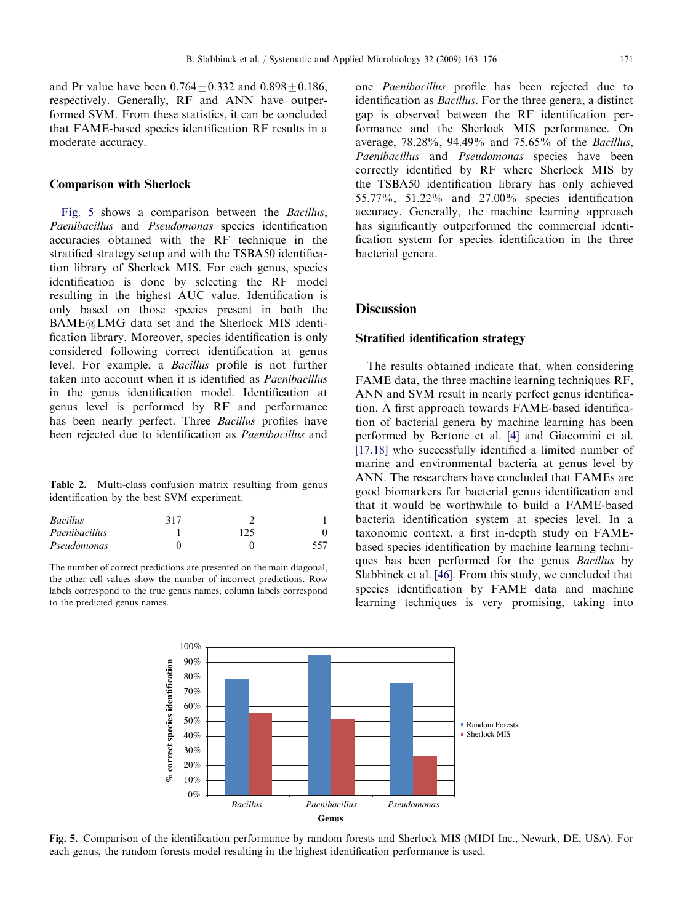<span id="page-8-0"></span>and Pr value have been  $0.764 \pm 0.332$  and  $0.898 \pm 0.186$ , respectively. Generally, RF and ANN have outperformed SVM. From these statistics, it can be concluded that FAME-based species identification RF results in a moderate accuracy.

#### Comparison with Sherlock

Fig. 5 shows a comparison between the Bacillus, Paenibacillus and Pseudomonas species identification accuracies obtained with the RF technique in the stratified strategy setup and with the TSBA50 identification library of Sherlock MIS. For each genus, species identification is done by selecting the RF model resulting in the highest AUC value. Identification is only based on those species present in both the BAME@LMG data set and the Sherlock MIS identification library. Moreover, species identification is only considered following correct identification at genus level. For example, a Bacillus profile is not further taken into account when it is identified as Paenibacillus in the genus identification model. Identification at genus level is performed by RF and performance has been nearly perfect. Three Bacillus profiles have been rejected due to identification as Paenibacillus and

Table 2. Multi-class confusion matrix resulting from genus identification by the best SVM experiment.

| <b>Bacillus</b> | 317 |     |     |
|-----------------|-----|-----|-----|
| Paenibacillus   |     | 125 |     |
| Pseudomonas     |     |     | 557 |

The number of correct predictions are presented on the main diagonal, the other cell values show the number of incorrect predictions. Row labels correspond to the true genus names, column labels correspond to the predicted genus names.

one Paenibacillus profile has been rejected due to identification as Bacillus. For the three genera, a distinct gap is observed between the RF identification performance and the Sherlock MIS performance. On average, 78.28%, 94.49% and 75.65% of the Bacillus, Paenibacillus and Pseudomonas species have been correctly identified by RF where Sherlock MIS by the TSBA50 identification library has only achieved 55.77%, 51.22% and 27.00% species identification accuracy. Generally, the machine learning approach has significantly outperformed the commercial identification system for species identification in the three bacterial genera.

## **Discussion**

#### Stratified identification strategy

The results obtained indicate that, when considering FAME data, the three machine learning techniques RF, ANN and SVM result in nearly perfect genus identification. A first approach towards FAME-based identification of bacterial genera by machine learning has been performed by Bertone et al. [\[4\]](#page-12-0) and Giacomini et al. [\[17,18\]](#page-12-0) who successfully identified a limited number of marine and environmental bacteria at genus level by ANN. The researchers have concluded that FAMEs are good biomarkers for bacterial genus identification and that it would be worthwhile to build a FAME-based bacteria identification system at species level. In a taxonomic context, a first in-depth study on FAMEbased species identification by machine learning techniques has been performed for the genus Bacillus by Slabbinck et al. [\[46\]](#page-13-0). From this study, we concluded that species identification by FAME data and machine learning techniques is very promising, taking into



Fig. 5. Comparison of the identification performance by random forests and Sherlock MIS (MIDI Inc., Newark, DE, USA). For each genus, the random forests model resulting in the highest identification performance is used.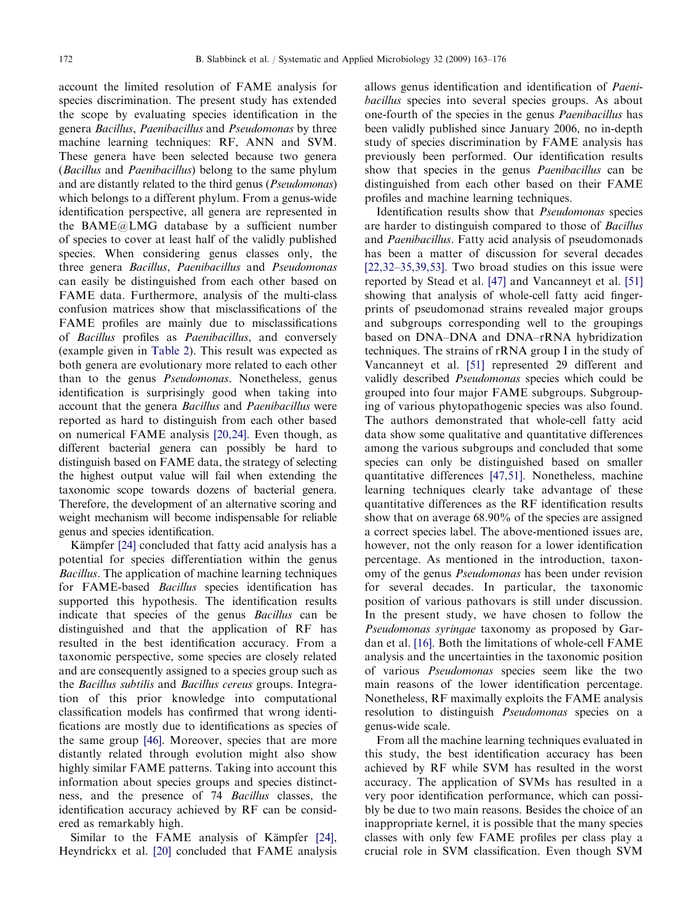account the limited resolution of FAME analysis for species discrimination. The present study has extended the scope by evaluating species identification in the genera Bacillus, Paenibacillus and Pseudomonas by three machine learning techniques: RF, ANN and SVM. These genera have been selected because two genera (Bacillus and Paenibacillus) belong to the same phylum and are distantly related to the third genus (Pseudomonas) which belongs to a different phylum. From a genus-wide identification perspective, all genera are represented in the BAME@LMG database by a sufficient number of species to cover at least half of the validly published species. When considering genus classes only, the three genera Bacillus, Paenibacillus and Pseudomonas can easily be distinguished from each other based on FAME data. Furthermore, analysis of the multi-class confusion matrices show that misclassifications of the FAME profiles are mainly due to misclassifications of Bacillus profiles as Paenibacillus, and conversely (example given in [Table 2\)](#page-8-0). This result was expected as both genera are evolutionary more related to each other than to the genus Pseudomonas. Nonetheless, genus identification is surprisingly good when taking into account that the genera Bacillus and Paenibacillus were reported as hard to distinguish from each other based on numerical FAME analysis [\[20,24\].](#page-12-0) Even though, as different bacterial genera can possibly be hard to distinguish based on FAME data, the strategy of selecting the highest output value will fail when extending the taxonomic scope towards dozens of bacterial genera. Therefore, the development of an alternative scoring and weight mechanism will become indispensable for reliable genus and species identification.

Kämpfer [\[24\]](#page-12-0) concluded that fatty acid analysis has a potential for species differentiation within the genus Bacillus. The application of machine learning techniques for FAME-based Bacillus species identification has supported this hypothesis. The identification results indicate that species of the genus Bacillus can be distinguished and that the application of RF has resulted in the best identification accuracy. From a taxonomic perspective, some species are closely related and are consequently assigned to a species group such as the Bacillus subtilis and Bacillus cereus groups. Integration of this prior knowledge into computational classification models has confirmed that wrong identifications are mostly due to identifications as species of the same group [\[46\]](#page-13-0). Moreover, species that are more distantly related through evolution might also show highly similar FAME patterns. Taking into account this information about species groups and species distinctness, and the presence of 74 Bacillus classes, the identification accuracy achieved by RF can be considered as remarkably high.

Similar to the FAME analysis of Kämpfer [\[24\]](#page-12-0), Heyndrickx et al. [\[20\]](#page-12-0) concluded that FAME analysis allows genus identification and identification of Paenibacillus species into several species groups. As about one-fourth of the species in the genus Paenibacillus has been validly published since January 2006, no in-depth study of species discrimination by FAME analysis has previously been performed. Our identification results show that species in the genus Paenibacillus can be distinguished from each other based on their FAME profiles and machine learning techniques.

Identification results show that Pseudomonas species are harder to distinguish compared to those of Bacillus and Paenibacillus. Fatty acid analysis of pseudomonads has been a matter of discussion for several decades  $[22,32-35,39,53]$ . Two broad studies on this issue were reported by Stead et al. [\[47\]](#page-13-0) and Vancanneyt et al. [\[51\]](#page-13-0) showing that analysis of whole-cell fatty acid fingerprints of pseudomonad strains revealed major groups and subgroups corresponding well to the groupings based on DNA–DNA and DNA–rRNA hybridization techniques. The strains of rRNA group I in the study of Vancanneyt et al. [\[51\]](#page-13-0) represented 29 different and validly described Pseudomonas species which could be grouped into four major FAME subgroups. Subgrouping of various phytopathogenic species was also found. The authors demonstrated that whole-cell fatty acid data show some qualitative and quantitative differences among the various subgroups and concluded that some species can only be distinguished based on smaller quantitative differences [\[47,51\]](#page-13-0). Nonetheless, machine learning techniques clearly take advantage of these quantitative differences as the RF identification results show that on average 68.90% of the species are assigned a correct species label. The above-mentioned issues are, however, not the only reason for a lower identification percentage. As mentioned in the introduction, taxonomy of the genus Pseudomonas has been under revision for several decades. In particular, the taxonomic position of various pathovars is still under discussion. In the present study, we have chosen to follow the Pseudomonas syringae taxonomy as proposed by Gardan et al. [\[16\]](#page-12-0). Both the limitations of whole-cell FAME analysis and the uncertainties in the taxonomic position of various Pseudomonas species seem like the two main reasons of the lower identification percentage. Nonetheless, RF maximally exploits the FAME analysis resolution to distinguish Pseudomonas species on a genus-wide scale.

From all the machine learning techniques evaluated in this study, the best identification accuracy has been achieved by RF while SVM has resulted in the worst accuracy. The application of SVMs has resulted in a very poor identification performance, which can possibly be due to two main reasons. Besides the choice of an inappropriate kernel, it is possible that the many species classes with only few FAME profiles per class play a crucial role in SVM classification. Even though SVM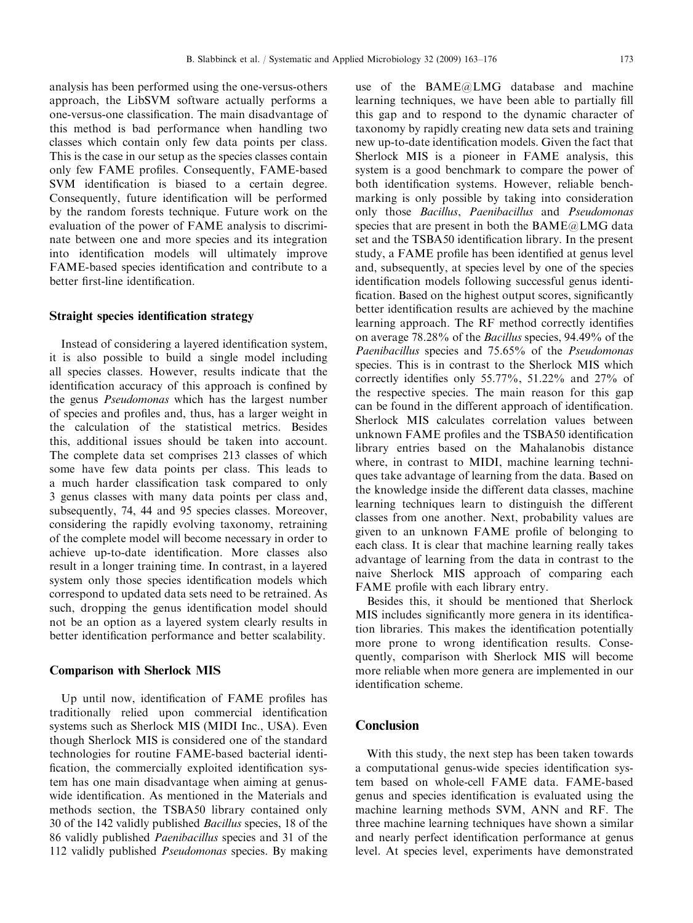analysis has been performed using the one-versus-others approach, the LibSVM software actually performs a one-versus-one classification. The main disadvantage of this method is bad performance when handling two classes which contain only few data points per class. This is the case in our setup as the species classes contain only few FAME profiles. Consequently, FAME-based SVM identification is biased to a certain degree. Consequently, future identification will be performed by the random forests technique. Future work on the evaluation of the power of FAME analysis to discriminate between one and more species and its integration into identification models will ultimately improve FAME-based species identification and contribute to a better first-line identification.

#### Straight species identification strategy

Instead of considering a layered identification system, it is also possible to build a single model including all species classes. However, results indicate that the identification accuracy of this approach is confined by the genus Pseudomonas which has the largest number of species and profiles and, thus, has a larger weight in the calculation of the statistical metrics. Besides this, additional issues should be taken into account. The complete data set comprises 213 classes of which some have few data points per class. This leads to a much harder classification task compared to only 3 genus classes with many data points per class and, subsequently, 74, 44 and 95 species classes. Moreover, considering the rapidly evolving taxonomy, retraining of the complete model will become necessary in order to achieve up-to-date identification. More classes also result in a longer training time. In contrast, in a layered system only those species identification models which correspond to updated data sets need to be retrained. As such, dropping the genus identification model should not be an option as a layered system clearly results in better identification performance and better scalability.

#### Comparison with Sherlock MIS

Up until now, identification of FAME profiles has traditionally relied upon commercial identification systems such as Sherlock MIS (MIDI Inc., USA). Even though Sherlock MIS is considered one of the standard technologies for routine FAME-based bacterial identification, the commercially exploited identification system has one main disadvantage when aiming at genuswide identification. As mentioned in the Materials and methods section, the TSBA50 library contained only 30 of the 142 validly published Bacillus species, 18 of the 86 validly published Paenibacillus species and 31 of the 112 validly published Pseudomonas species. By making use of the BAME@LMG database and machine learning techniques, we have been able to partially fill this gap and to respond to the dynamic character of taxonomy by rapidly creating new data sets and training new up-to-date identification models. Given the fact that Sherlock MIS is a pioneer in FAME analysis, this system is a good benchmark to compare the power of both identification systems. However, reliable benchmarking is only possible by taking into consideration only those Bacillus, Paenibacillus and Pseudomonas species that are present in both the BAME@LMG data set and the TSBA50 identification library. In the present study, a FAME profile has been identified at genus level and, subsequently, at species level by one of the species identification models following successful genus identification. Based on the highest output scores, significantly better identification results are achieved by the machine learning approach. The RF method correctly identifies on average 78.28% of the Bacillus species, 94.49% of the Paenibacillus species and 75.65% of the Pseudomonas species. This is in contrast to the Sherlock MIS which correctly identifies only 55.77%, 51.22% and 27% of the respective species. The main reason for this gap can be found in the different approach of identification. Sherlock MIS calculates correlation values between unknown FAME profiles and the TSBA50 identification library entries based on the Mahalanobis distance where, in contrast to MIDI, machine learning techniques take advantage of learning from the data. Based on the knowledge inside the different data classes, machine learning techniques learn to distinguish the different classes from one another. Next, probability values are given to an unknown FAME profile of belonging to each class. It is clear that machine learning really takes advantage of learning from the data in contrast to the naive Sherlock MIS approach of comparing each FAME profile with each library entry.

Besides this, it should be mentioned that Sherlock MIS includes significantly more genera in its identification libraries. This makes the identification potentially more prone to wrong identification results. Consequently, comparison with Sherlock MIS will become more reliable when more genera are implemented in our identification scheme.

## Conclusion

With this study, the next step has been taken towards a computational genus-wide species identification system based on whole-cell FAME data. FAME-based genus and species identification is evaluated using the machine learning methods SVM, ANN and RF. The three machine learning techniques have shown a similar and nearly perfect identification performance at genus level. At species level, experiments have demonstrated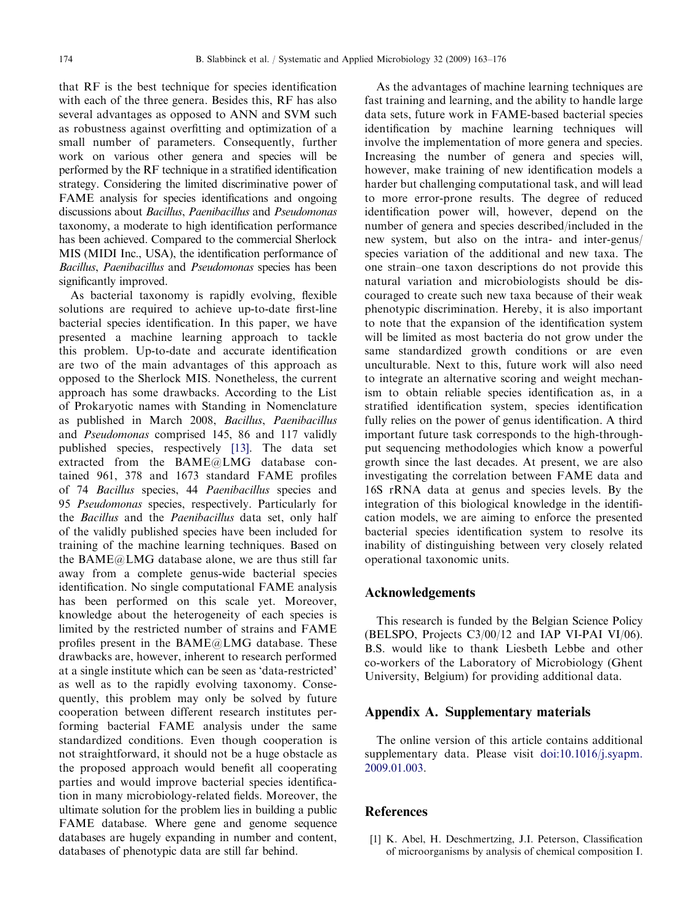<span id="page-11-0"></span>that RF is the best technique for species identification with each of the three genera. Besides this, RF has also several advantages as opposed to ANN and SVM such as robustness against overfitting and optimization of a small number of parameters. Consequently, further work on various other genera and species will be performed by the RF technique in a stratified identification strategy. Considering the limited discriminative power of FAME analysis for species identifications and ongoing discussions about Bacillus, Paenibacillus and Pseudomonas taxonomy, a moderate to high identification performance has been achieved. Compared to the commercial Sherlock MIS (MIDI Inc., USA), the identification performance of Bacillus, Paenibacillus and Pseudomonas species has been significantly improved.

As bacterial taxonomy is rapidly evolving, flexible solutions are required to achieve up-to-date first-line bacterial species identification. In this paper, we have presented a machine learning approach to tackle this problem. Up-to-date and accurate identification are two of the main advantages of this approach as opposed to the Sherlock MIS. Nonetheless, the current approach has some drawbacks. According to the List of Prokaryotic names with Standing in Nomenclature as published in March 2008, Bacillus, Paenibacillus and Pseudomonas comprised 145, 86 and 117 validly published species, respectively [\[13\]](#page-12-0). The data set extracted from the BAME@LMG database contained 961, 378 and 1673 standard FAME profiles of 74 Bacillus species, 44 Paenibacillus species and 95 Pseudomonas species, respectively. Particularly for the Bacillus and the Paenibacillus data set, only half of the validly published species have been included for training of the machine learning techniques. Based on the BAME@LMG database alone, we are thus still far away from a complete genus-wide bacterial species identification. No single computational FAME analysis has been performed on this scale yet. Moreover, knowledge about the heterogeneity of each species is limited by the restricted number of strains and FAME profiles present in the BAME@LMG database. These drawbacks are, however, inherent to research performed at a single institute which can be seen as 'data-restricted' as well as to the rapidly evolving taxonomy. Consequently, this problem may only be solved by future cooperation between different research institutes performing bacterial FAME analysis under the same standardized conditions. Even though cooperation is not straightforward, it should not be a huge obstacle as the proposed approach would benefit all cooperating parties and would improve bacterial species identification in many microbiology-related fields. Moreover, the ultimate solution for the problem lies in building a public FAME database. Where gene and genome sequence databases are hugely expanding in number and content, databases of phenotypic data are still far behind.

As the advantages of machine learning techniques are fast training and learning, and the ability to handle large data sets, future work in FAME-based bacterial species identification by machine learning techniques will involve the implementation of more genera and species. Increasing the number of genera and species will, however, make training of new identification models a harder but challenging computational task, and will lead to more error-prone results. The degree of reduced identification power will, however, depend on the number of genera and species described/included in the new system, but also on the intra- and inter-genus/ species variation of the additional and new taxa. The one strain–one taxon descriptions do not provide this natural variation and microbiologists should be discouraged to create such new taxa because of their weak phenotypic discrimination. Hereby, it is also important to note that the expansion of the identification system will be limited as most bacteria do not grow under the same standardized growth conditions or are even unculturable. Next to this, future work will also need to integrate an alternative scoring and weight mechanism to obtain reliable species identification as, in a stratified identification system, species identification fully relies on the power of genus identification. A third important future task corresponds to the high-throughput sequencing methodologies which know a powerful growth since the last decades. At present, we are also investigating the correlation between FAME data and 16S rRNA data at genus and species levels. By the integration of this biological knowledge in the identification models, we are aiming to enforce the presented bacterial species identification system to resolve its inability of distinguishing between very closely related operational taxonomic units.

## Acknowledgements

This research is funded by the Belgian Science Policy (BELSPO, Projects C3/00/12 and IAP VI-PAI VI/06). B.S. would like to thank Liesbeth Lebbe and other co-workers of the Laboratory of Microbiology (Ghent University, Belgium) for providing additional data.

## Appendix A. Supplementary materials

The online version of this article contains additional supplementary data. Please visit [doi:10.1016/j.syapm.](dx.doi.org/10.1016/j.syapm.2009.01.003) [2009.01.003.](dx.doi.org/10.1016/j.syapm.2009.01.003)

## References

[1] K. Abel, H. Deschmertzing, J.I. Peterson, Classification of microorganisms by analysis of chemical composition I.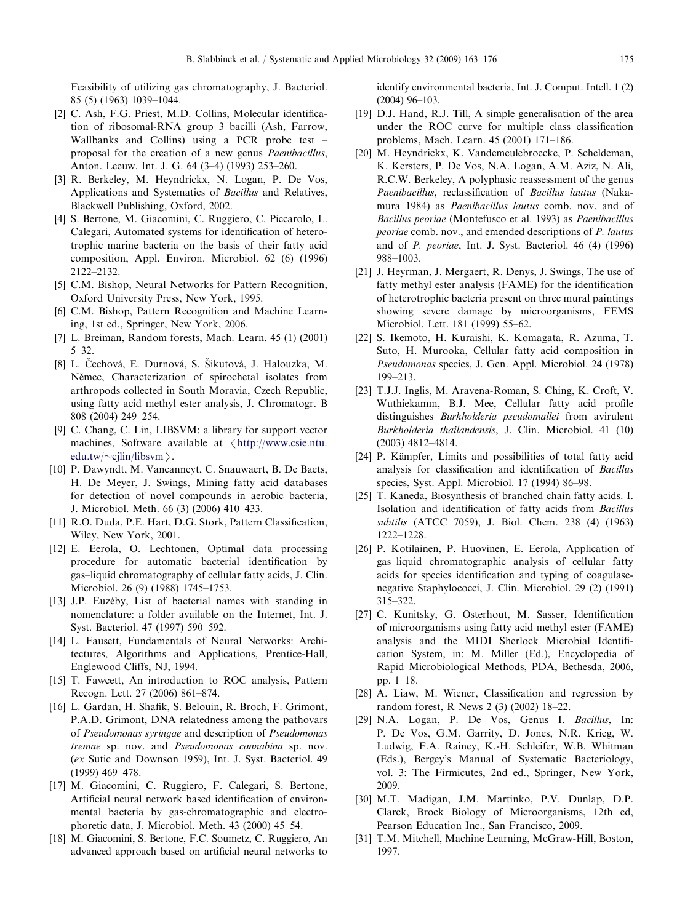<span id="page-12-0"></span>Feasibility of utilizing gas chromatography, J. Bacteriol. 85 (5) (1963) 1039–1044.

- [2] C. Ash, F.G. Priest, M.D. Collins, Molecular identification of ribosomal-RNA group 3 bacilli (Ash, Farrow, Wallbanks and Collins) using a PCR probe test – proposal for the creation of a new genus Paenibacillus, Anton. Leeuw. Int. J. G. 64 (3–4) (1993) 253–260.
- [3] R. Berkeley, M. Heyndrickx, N. Logan, P. De Vos, Applications and Systematics of Bacillus and Relatives, Blackwell Publishing, Oxford, 2002.
- [4] S. Bertone, M. Giacomini, C. Ruggiero, C. Piccarolo, L. Calegari, Automated systems for identification of heterotrophic marine bacteria on the basis of their fatty acid composition, Appl. Environ. Microbiol. 62 (6) (1996) 2122–2132.
- [5] C.M. Bishop, Neural Networks for Pattern Recognition, Oxford University Press, New York, 1995.
- [6] C.M. Bishop, Pattern Recognition and Machine Learning, 1st ed., Springer, New York, 2006.
- [7] L. Breiman, Random forests, Mach. Learn. 45 (1) (2001) 5–32.
- [8] L. Čechová, E. Durnová, S. Šikutová, J. Halouzka, M. Němec, Characterization of spirochetal isolates from arthropods collected in South Moravia, Czech Republic, using fatty acid methyl ester analysis, J. Chromatogr. B 808 (2004) 249–254.
- [9] C. Chang, C. Lin, LIBSVM: a library for support vector machines, Software available at  $\langle$  [http://www.csie.ntu.](http://www.csie.ntu.edu.tw/~cjlin/libsvm) [edu.tw/](http://www.csie.ntu.edu.tw/~cjlin/libsvm) $\sim$ [cjlin/libsvm](http://www.csie.ntu.edu.tw/~cjlin/libsvm) $\rangle$ .
- [10] P. Dawyndt, M. Vancanneyt, C. Snauwaert, B. De Baets, H. De Meyer, J. Swings, Mining fatty acid databases for detection of novel compounds in aerobic bacteria, J. Microbiol. Meth. 66 (3) (2006) 410–433.
- [11] R.O. Duda, P.E. Hart, D.G. Stork, Pattern Classification, Wiley, New York, 2001.
- [12] E. Eerola, O. Lechtonen, Optimal data processing procedure for automatic bacterial identification by gas–liquid chromatography of cellular fatty acids, J. Clin. Microbiol. 26 (9) (1988) 1745–1753.
- [13] J.P. Euzéby, List of bacterial names with standing in nomenclature: a folder available on the Internet, Int. J. Syst. Bacteriol. 47 (1997) 590–592.
- [14] L. Fausett, Fundamentals of Neural Networks: Architectures, Algorithms and Applications, Prentice-Hall, Englewood Cliffs, NJ, 1994.
- [15] T. Fawcett, An introduction to ROC analysis, Pattern Recogn. Lett. 27 (2006) 861–874.
- [16] L. Gardan, H. Shafik, S. Belouin, R. Broch, F. Grimont, P.A.D. Grimont, DNA relatedness among the pathovars of Pseudomonas syringae and description of Pseudomonas tremae sp. nov. and Pseudomonas cannabina sp. nov. (ex Sutic and Downson 1959), Int. J. Syst. Bacteriol. 49 (1999) 469–478.
- [17] M. Giacomini, C. Ruggiero, F. Calegari, S. Bertone, Artificial neural network based identification of environmental bacteria by gas-chromatographic and electrophoretic data, J. Microbiol. Meth. 43 (2000) 45–54.
- [18] M. Giacomini, S. Bertone, F.C. Soumetz, C. Ruggiero, An advanced approach based on artificial neural networks to

identify environmental bacteria, Int. J. Comput. Intell. 1 (2) (2004) 96–103.

- [19] D.J. Hand, R.J. Till, A simple generalisation of the area under the ROC curve for multiple class classification problems, Mach. Learn. 45 (2001) 171–186.
- [20] M. Heyndrickx, K. Vandemeulebroecke, P. Scheldeman, K. Kersters, P. De Vos, N.A. Logan, A.M. Aziz, N. Ali, R.C.W. Berkeley, A polyphasic reassessment of the genus Paenibacillus, reclassification of Bacillus lautus (Nakamura 1984) as Paenibacillus lautus comb. nov. and of Bacillus peoriae (Montefusco et al. 1993) as Paenibacillus peoriae comb. nov., and emended descriptions of P. lautus and of P. peoriae, Int. J. Syst. Bacteriol. 46 (4) (1996) 988–1003.
- [21] J. Heyrman, J. Mergaert, R. Denys, J. Swings, The use of fatty methyl ester analysis (FAME) for the identification of heterotrophic bacteria present on three mural paintings showing severe damage by microorganisms, FEMS Microbiol. Lett. 181 (1999) 55–62.
- [22] S. Ikemoto, H. Kuraishi, K. Komagata, R. Azuma, T. Suto, H. Murooka, Cellular fatty acid composition in Pseudomonas species, J. Gen. Appl. Microbiol. 24 (1978) 199–213.
- [23] T.J.J. Inglis, M. Aravena-Roman, S. Ching, K. Croft, V. Wuthiekamm, B.J. Mee, Cellular fatty acid profile distinguishes Burkholderia pseudomallei from avirulent Burkholderia thailandensis, J. Clin. Microbiol. 41 (10) (2003) 4812–4814.
- [24] P. Kämpfer, Limits and possibilities of total fatty acid analysis for classification and identification of Bacillus species, Syst. Appl. Microbiol. 17 (1994) 86–98.
- [25] T. Kaneda, Biosynthesis of branched chain fatty acids. I. Isolation and identification of fatty acids from Bacillus subtilis (ATCC 7059), J. Biol. Chem. 238 (4) (1963) 1222–1228.
- [26] P. Kotilainen, P. Huovinen, E. Eerola, Application of gas–liquid chromatographic analysis of cellular fatty acids for species identification and typing of coagulasenegative Staphylococci, J. Clin. Microbiol. 29 (2) (1991) 315–322.
- [27] C. Kunitsky, G. Osterhout, M. Sasser, Identification of microorganisms using fatty acid methyl ester (FAME) analysis and the MIDI Sherlock Microbial Identification System, in: M. Miller (Ed.), Encyclopedia of Rapid Microbiological Methods, PDA, Bethesda, 2006, pp. 1–18.
- [28] A. Liaw, M. Wiener, Classification and regression by random forest, R News 2 (3) (2002) 18–22.
- [29] N.A. Logan, P. De Vos, Genus I. Bacillus, In: P. De Vos, G.M. Garrity, D. Jones, N.R. Krieg, W. Ludwig, F.A. Rainey, K.-H. Schleifer, W.B. Whitman (Eds.), Bergey's Manual of Systematic Bacteriology, vol. 3: The Firmicutes, 2nd ed., Springer, New York, 2009.
- [30] M.T. Madigan, J.M. Martinko, P.V. Dunlap, D.P. Clarck, Brock Biology of Microorganisms, 12th ed, Pearson Education Inc., San Francisco, 2009.
- [31] T.M. Mitchell, Machine Learning, McGraw-Hill, Boston, 1997.